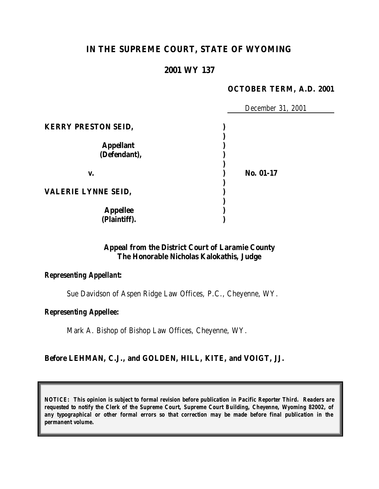# **IN THE SUPREME COURT, STATE OF WYOMING**

### **2001 WY 137**

#### **OCTOBER TERM, A.D. 2001**

|                            | December 31, 2001 |
|----------------------------|-------------------|
| <b>KERRY PRESTON SEID,</b> |                   |
|                            |                   |
| <b>Appellant</b>           |                   |
| (Defendant),               |                   |
| V.                         | No. 01-17         |
| <b>VALERIE LYNNE SEID,</b> |                   |
| <b>Appellee</b>            |                   |
| (Plaintiff).               |                   |

### **Appeal from the District Court of Laramie County The Honorable Nicholas Kalokathis, Judge**

### *Representing Appellant:*

Sue Davidson of Aspen Ridge Law Offices, P.C., Cheyenne, WY.

### *Representing Appellee:*

Mark A. Bishop of Bishop Law Offices, Cheyenne, WY.

## **Before LEHMAN, C.J., and GOLDEN, HILL, KITE, and VOIGT, JJ.**

*NOTICE: This opinion is subject to formal revision before publication in Pacific Reporter Third. Readers are requested to notify the Clerk of the Supreme Court, Supreme Court Building, Cheyenne, Wyoming 82002, of any typographical or other formal errors so that correction may be made before final publication in the permanent volume.*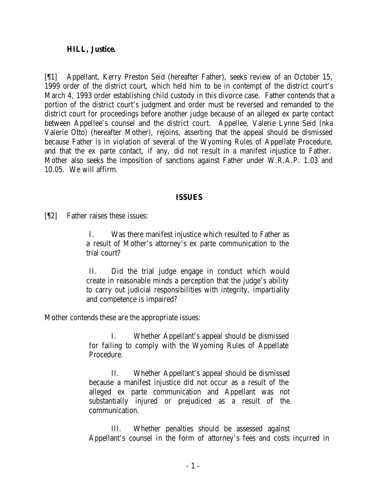#### **HILL, Justice.**

[¶1] Appellant, Kerry Preston Seid (hereafter Father), seeks review of an October 15, 1999 order of the district court, which held him to be in contempt of the district court's March 4, 1993 order establishing child custody in this divorce case. Father contends that a portion of the district court's judgment and order must be reversed and remanded to the district court for proceedings before another judge because of an alleged ex parte contact between Appellee's counsel and the district court. Appellee, Valerie Lynne Seid (nka Valerie Otto) (hereafter Mother), rejoins, asserting that the appeal should be dismissed because Father is in violation of several of the Wyoming Rules of Appellate Procedure, and that the ex parte contact, if any, did not result in a manifest injustice to Father. Mother also seeks the imposition of sanctions against Father under W.R.A.P. 1.03 and 10.05. We will affirm.

### **ISSUES**

[¶2] Father raises these issues:

I. Was there manifest injustice which resulted to Father as a result of Mother's attorney's ex parte communication to the trial court?

II. Did the trial judge engage in conduct which would create in reasonable minds a perception that the judge's ability to carry out judicial responsibilities with integrity, impartiality and competence is impaired?

Mother contends these are the appropriate issues:

I. Whether Appellant's appeal should be dismissed for failing to comply with the Wyoming Rules of Appellate Procedure.

II. Whether Appellant's appeal should be dismissed because a manifest injustice did not occur as a result of the alleged ex parte communication and Appellant was not substantially injured or prejudiced as a result of the communication.

III. Whether penalties should be assessed against Appellant's counsel in the form of attorney's fees and costs incurred in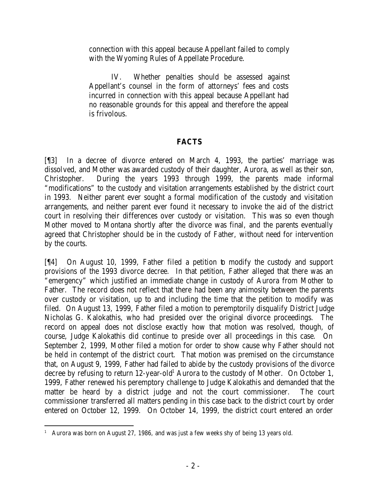connection with this appeal because Appellant failed to comply with the Wyoming Rules of Appellate Procedure.

IV. Whether penalties should be assessed against Appellant's counsel in the form of attorneys' fees and costs incurred in connection with this appeal because Appellant had no reasonable grounds for this appeal and therefore the appeal is frivolous.

## **FACTS**

[¶3] In a decree of divorce entered on March 4, 1993, the parties' marriage was dissolved, and Mother was awarded custody of their daughter, Aurora, as well as their son, Christopher. During the years 1993 through 1999, the parents made informal "modifications" to the custody and visitation arrangements established by the district court in 1993. Neither parent ever sought a formal modification of the custody and visitation arrangements, and neither parent ever found it necessary to invoke the aid of the district court in resolving their differences over custody or visitation. This was so even though Mother moved to Montana shortly after the divorce was final, and the parents eventually agreed that Christopher should be in the custody of Father, without need for intervention by the courts.

[¶4] On August 10, 1999, Father filed a petition to modify the custody and support provisions of the 1993 divorce decree. In that petition, Father alleged that there was an "emergency" which justified an immediate change in custody of Aurora from Mother to Father. The record does not reflect that there had been any animosity between the parents over custody or visitation, up to and including the time that the petition to modify was filed. On August 13, 1999, Father filed a motion to peremptorily disqualify District Judge Nicholas G. Kalokathis, who had presided over the original divorce proceedings. The record on appeal does not disclose exactly how that motion was resolved, though, of course, Judge Kalokathis did continue to preside over all proceedings in this case. On September 2, 1999, Mother filed a motion for order to show cause why Father should not be held in contempt of the district court. That motion was premised on the circumstance that, on August 9, 1999, Father had failed to abide by the custody provisions of the divorce decree by refusing to return 12-year-old<sup>1</sup> Aurora to the custody of Mother. On October 1, 1999, Father renewed his peremptory challenge to Judge Kalokathis and demanded that the matter be heard by a district judge and not the court commissioner. The court commissioner transferred all matters pending in this case back to the district court by order entered on October 12, 1999. On October 14, 1999, the district court entered an order

 <sup>1</sup> Aurora was born on August 27, 1986, and was just a few weeks shy of being 13 years old.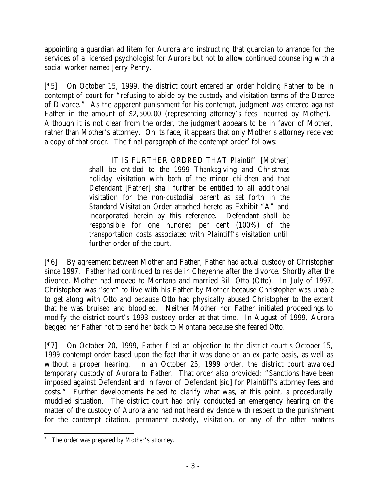appointing a guardian ad litem for Aurora and instructing that guardian to arrange for the services of a licensed psychologist for Aurora but not to allow continued counseling with a social worker named Jerry Penny.

[¶5] On October 15, 1999, the district court entered an order holding Father to be in contempt of court for "refusing to abide by the custody and visitation terms of the Decree of Divorce." As the apparent punishment for his contempt, judgment was entered against Father in the amount of \$2,500.00 (representing attorney's fees incurred by Mother). Although it is not clear from the order, the judgment appears to be in favor of Mother, rather than Mother's attorney. On its face, it appears that only Mother's attorney received a copy of that order. The final paragraph of the contempt order<sup>2</sup> follows:

> IT IS FURTHER ORDRED THAT Plaintiff [Mother] shall be entitled to the 1999 Thanksgiving and Christmas holiday visitation with both of the minor children and that Defendant [Father] shall further be entitled to all additional visitation for the non-custodial parent as set forth in the Standard Visitation Order attached hereto as Exhibit "A" and incorporated herein by this reference. Defendant shall be responsible for one hundred per cent (100%) of the transportation costs associated with Plaintiff's visitation until further order of the court.

[¶6] By agreement between Mother and Father, Father had actual custody of Christopher since 1997. Father had continued to reside in Cheyenne after the divorce. Shortly after the divorce, Mother had moved to Montana and married Bill Otto (Otto). In July of 1997, Christopher was "sent" to live with his Father by Mother because Christopher was unable to get along with Otto and because Otto had physically abused Christopher to the extent that he was bruised and bloodied. Neither Mother nor Father initiated proceedings to modify the district court's 1993 custody order at that time. In August of 1999, Aurora begged her Father not to send her back to Montana because she feared Otto.

[¶7] On October 20, 1999, Father filed an objection to the district court's October 15, 1999 contempt order based upon the fact that it was done on an ex parte basis, as well as without a proper hearing. In an October 25, 1999 order, the district court awarded temporary custody of Aurora to Father. That order also provided: "Sanctions have been imposed against Defendant and in favor of Defendant [*sic*] for Plaintiff's attorney fees and costs." Further developments helped to clarify what was, at this point, a procedurally muddled situation. The district court had only conducted an emergency hearing on the matter of the custody of Aurora and had not heard evidence with respect to the punishment for the contempt citation, permanent custody, visitation, or any of the other matters

 <sup>2</sup> The order was prepared by Mother's attorney.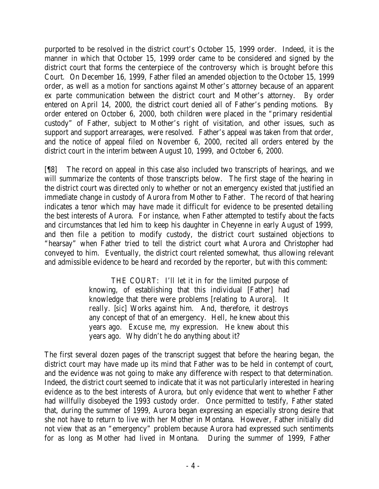purported to be resolved in the district court's October 15, 1999 order. Indeed, it is the manner in which that October 15, 1999 order came to be considered and signed by the district court that forms the centerpiece of the controversy which is brought before this Court. On December 16, 1999, Father filed an amended objection to the October 15, 1999 order, as well as a motion for sanctions against Mother's attorney because of an apparent ex parte communication between the district court and Mother's attorney. By order entered on April 14, 2000, the district court denied all of Father's pending motions. By order entered on October 6, 2000, both children were placed in the "primary residential custody" of Father, subject to Mother's right of visitation, and other issues, such as support and support arrearages, were resolved. Father's appeal was taken from that order, and the notice of appeal filed on November 6, 2000, recited all orders entered by the district court in the interim between August 10, 1999, and October 6, 2000.

[¶8] The record on appeal in this case also included two transcripts of hearings, and we will summarize the contents of those transcripts below. The first stage of the hearing in the district court was directed only to whether or not an emergency existed that justified an immediate change in custody of Aurora from Mother to Father. The record of that hearing indicates a tenor which may have made it difficult for evidence to be presented detailing the best interests of Aurora. For instance, when Father attempted to testify about the facts and circumstances that led him to keep his daughter in Cheyenne in early August of 1999, and then file a petition to modify custody, the district court sustained objections to "hearsay" when Father tried to tell the district court what Aurora and Christopher had conveyed to him. Eventually, the district court relented somewhat, thus allowing relevant and admissible evidence to be heard and recorded by the reporter, but with this comment:

> THE COURT: I'll let it in for the limited purpose of knowing, of establishing that this individual [Father] had knowledge that there were problems [relating to Aurora]. It really. [*sic*] Works against him. And, therefore, it destroys any concept of that of an emergency. Hell, he knew about this years ago. Excuse me, my expression. He knew about this years ago. Why didn't he do anything about it?

The first several dozen pages of the transcript suggest that before the hearing began, the district court may have made up its mind that Father was to be held in contempt of court, and the evidence was not going to make any difference with respect to that determination. Indeed, the district court seemed to indicate that it was not particularly interested in hearing evidence as to the best interests of Aurora, but only evidence that went to whether Father had willfully disobeyed the 1993 custody order. Once permitted to testify, Father stated that, during the summer of 1999, Aurora began expressing an especially strong desire that she not have to return to live with her Mother in Montana. However, Father initially did not view that as an "emergency" problem because Aurora had expressed such sentiments for as long as Mother had lived in Montana. During the summer of 1999, Father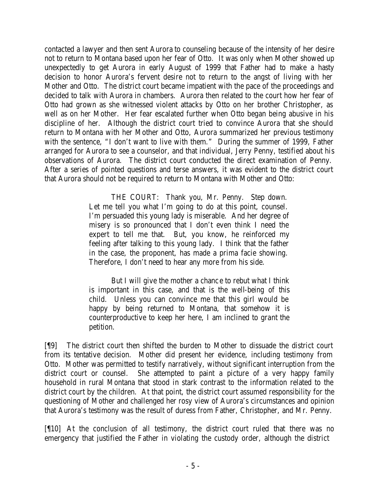contacted a lawyer and then sent Aurora to counseling because of the intensity of her desire not to return to Montana based upon her fear of Otto. It was only when Mother showed up unexpectedly to get Aurora in early August of 1999 that Father had to make a hasty decision to honor Aurora's fervent desire not to return to the angst of living with her Mother and Otto. The district court became impatient with the pace of the proceedings and decided to talk with Aurora in chambers. Aurora then related to the court how her fear of Otto had grown as she witnessed violent attacks by Otto on her brother Christopher, as well as on her Mother. Her fear escalated further when Otto began being abusive in his discipline of her. Although the district court tried to convince Aurora that she should return to Montana with her Mother and Otto, Aurora summarized her previous testimony with the sentence, "I don't want to live with them." During the summer of 1999, Father arranged for Aurora to see a counselor, and that individual, Jerry Penny, testified about his observations of Aurora. The district court conducted the direct examination of Penny. After a series of pointed questions and terse answers, it was evident to the district court that Aurora should not be required to return to Montana with Mother and Otto:

> THE COURT: Thank you, Mr. Penny. Step down. Let me tell you what I'm going to do at this point, counsel. I'm persuaded this young lady is miserable. And her degree of misery is so pronounced that I don't even think I need the expert to tell me that. But, you know, he reinforced my feeling after talking to this young lady. I think that the father in the case, the proponent, has made a prima facie showing. Therefore, I don't need to hear any more from his side.

> But I will give the mother a chanc e to rebut what I think is important in this case, and that is the well-being of this child. Unless you can convince me that this girl would be happy by being returned to Montana, that somehow it is counterproductive to keep her here, I am inclined to grant the petition.

[¶9] The district court then shifted the burden to Mother to dissuade the district court from its tentative decision. Mother did present her evidence, including testimony from Otto. Mother was permitted to testify narratively, without significant interruption from the district court or counsel. She attempted to paint a picture of a very happy family household in rural Montana that stood in stark contrast to the information related to the district court by the children. At that point, the district court assumed responsibility for the questioning of Mother and challenged her rosy view of Aurora's circumstances and opinion that Aurora's testimony was the result of duress from Father, Christopher, and Mr. Penny.

[¶10] At the conclusion of all testimony, the district court ruled that there was no emergency that justified the Father in violating the custody order, although the district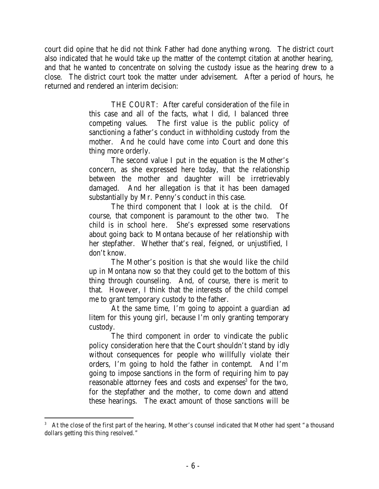court did opine that he did not think Father had done anything wrong. The district court also indicated that he would take up the matter of the contempt citation at another hearing, and that he wanted to concentrate on solving the custody issue as the hearing drew to a close. The district court took the matter under advisement. After a period of hours, he returned and rendered an interim decision:

> THE COURT: After careful consideration of the file in this case and all of the facts, what I did, I balanced three competing values. The first value is the public policy of sanctioning a father's conduct in withholding custody from the mother. And he could have come into Court and done this thing more orderly.

> The second value I put in the equation is the Mother's concern, as she expressed here today, that the relationship between the mother and daughter will be irretrievably damaged. And her allegation is that it has been damaged substantially by Mr. Penny's conduct in this case.

> The third component that I look at is the child. Of course, that component is paramount to the other two. The child is in school here. She's expressed some reservations about going back to Montana because of her relationship with her stepfather. Whether that's real, feigned, or unjustified, I don't know.

> The Mother's position is that she would like the child up in Montana now so that they could get to the bottom of this thing through counseling. And, of course, there is merit to that. However, I think that the interests of the child compel me to grant temporary custody to the father.

> At the same time, I'm going to appoint a guardian ad litem for this young girl, because I'm only granting temporary custody.

> The third component in order to vindicate the public policy consideration here that the Court shouldn't stand by idly without consequences for people who willfully violate their orders, I'm going to hold the father in contempt. And I'm going to impose sanctions in the form of requiring him to pay reasonable attorney fees and costs and expenses<sup>3</sup> for the two, for the stepfather and the mother, to come down and attend these hearings. The exact amount of those sanctions will be

<sup>&</sup>lt;sup>3</sup> At the close of the first part of the hearing, Mother's counsel indicated that Mother had spent "a thousand dollars getting this thing resolved."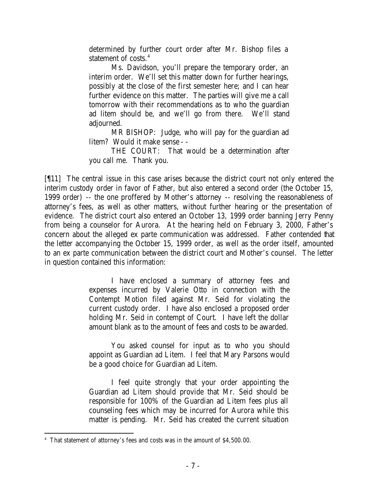determined by further court order after Mr. Bishop files a statement of costs.<sup>4</sup>

Ms. Davidson, you'll prepare the temporary order, an interim order. We'll set this matter down for further hearings, possibly at the close of the first semester here; and I can hear further evidence on this matter. The parties will give me a call tomorrow with their recommendations as to who the guardian ad litem should be, and we'll go from there. We'll stand adiourned.

MR BISHOP: Judge, who will pay for the guardian ad litem? Would it make sense - -

THE COURT: That would be a determination after you call me. Thank you.

[¶11] The central issue in this case arises because the district court not only entered the interim custody order in favor of Father, but also entered a second order (the October 15, 1999 order) -- the one proffered by Mother's attorney -- resolving the reasonableness of attorney's fees, as well as other matters, without further hearing or the presentation of evidence. The district court also entered an October 13, 1999 order banning Jerry Penny from being a counselor for Aurora. At the hearing held on February 3, 2000, Father's concern about the alleged ex parte communication was addressed. Father contended that the letter accompanying the October 15, 1999 order, as well as the order itself, amounted to an ex parte communication between the district court and Mother's counsel. The letter in question contained this information:

> I have enclosed a summary of attorney fees and expenses incurred by Valerie Otto in connection with the Contempt Motion filed against Mr. Seid for violating the current custody order. I have also enclosed a proposed order holding Mr. Seid in contempt of Court. I have left the dollar amount blank as to the amount of fees and costs to be awarded.

> You asked counsel for input as to who you should appoint as Guardian ad Litem. I feel that Mary Parsons would be a good choice for Guardian ad Litem.

> I feel quite strongly that your order appointing the Guardian ad Litem should provide that Mr. Seid should be responsible for 100% of the Guardian ad Litem fees plus all counseling fees which may be incurred for Aurora while this matter is pending. Mr. Seid has created the current situation

<sup>4</sup> That statement of attorney's fees and costs was in the amount of \$4,500.00.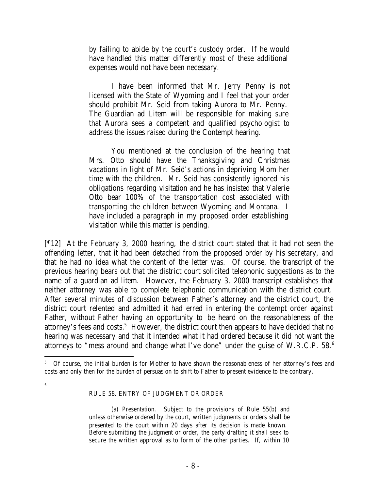by failing to abide by the court's custody order. If he would have handled this matter differently most of these additional expenses would not have been necessary.

I have been informed that Mr. Jerry Penny is not licensed with the State of Wyoming and I feel that your order should prohibit Mr. Seid from taking Aurora to Mr. Penny. The Guardian ad Litem will be responsible for making sure that Aurora sees a competent and qualified psychologist to address the issues raised during the Contempt hearing.

You mentioned at the conclusion of the hearing that Mrs. Otto should have the Thanksgiving and Christmas vacations in light of Mr. Seid's actions in depriving Mom her time with the children. Mr. Seid has consistently ignored his obligations regarding visitation and he has insisted that Valerie Otto bear 100% of the transportation cost associated with transporting the children between Wyoming and Montana. I have included a paragraph in my proposed order establishing visitation while this matter is pending.

[¶12] At the February 3, 2000 hearing, the district court stated that it had not seen the offending letter, that it had been detached from the proposed order by his secretary, and that he had no idea what the content of the letter was. Of course, the transcript of the previous hearing bears out that the district court solicited telephonic suggestions as to the name of a guardian ad litem. However, the February 3, 2000 transcript establishes that neither attorney was able to complete telephonic communication with the district court. After several minutes of discussion between Father's attorney and the district court, the district court relented and admitted it had erred in entering the contempt order against Father, without Father having an opportunity to be heard on the reasonableness of the attorney's fees and costs.<sup>5</sup> However, the district court then appears to have decided that no hearing was necessary and that it intended what it had ordered because it did not want the attorneys to "mess around and change what I've done" under the guise of W.R.C.P.  $58.^6$ 

RULE 58. ENTRY OF JUDGMENT OR ORDER

(a) Presentation. Subject to the provisions of Rule 55(b) and unless otherwise ordered by the court, written judgments or orders shall be presented to the court within 20 days after its decision is made known. Before submitting the judgment or order, the party drafting it shall seek to secure the written approval as to form of the other parties. If, within 10

<sup>5</sup> Of course, the initial burden is for Mother to have shown the reasonableness of her attorney's fees and costs and only then for the burden of persuasion to shift to Father to present evidence to the contrary.

<sup>6</sup>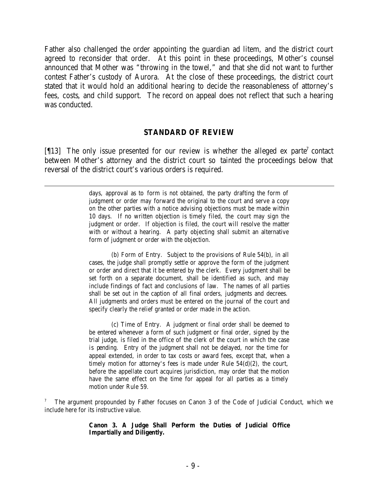Father also challenged the order appointing the guardian ad litem, and the district court agreed to reconsider that order. At this point in these proceedings, Mother's counsel announced that Mother was "throwing in the towel," and that she did not want to further contest Father's custody of Aurora. At the close of these proceedings, the district court stated that it would hold an additional hearing to decide the reasonableness of attorney's fees, costs, and child support. The record on appeal does not reflect that such a hearing was conducted.

#### **STANDARD OF REVIEW**

 $[13]$  The only issue presented for our review is whether the alleged ex parte<sup>7</sup> contact between Mother's attorney and the district court so tainted the proceedings below that reversal of the district court's various orders is required.

days, approval as to form is not obtained, the party drafting the form of judgment or order may forward the original to the court and serve a copy on the other parties with a notice advising objections must be made within 10 days. If no written objection is timely filed, the court may sign the judgment or order. If objection is filed, the court will resolve the matter with or without a hearing. A party objecting shall submit an alternative form of judgment or order with the objection.

(b) Form of Entry. Subject to the provisions of Rule 54(b), in all cases, the judge shall promptly settle or approve the form of the judgment or order and direct that it be entered by the clerk. Every judgment shall be set forth on a separate document, shall be identified as such, and may include findings of fact and conclusions of law. The names of all parties shall be set out in the caption of all final orders, judgments and decrees. All judgments and orders must be entered on the journal of the court and specify clearly the relief granted or order made in the action.

(c) Time of Entry. A judgment or final order shall be deemed to be entered whenever a form of such judgment or final order, signed by the trial judge, is filed in the office of the clerk of the court in which the case is pending. Entry of the judgment shall not be delayed, nor the time for appeal extended, in order to tax costs or award fees, except that, when a timely motion for attorney's fees is made under Rule 54(d)(2), the court, before the appellate court acquires jurisdiction, may order that the motion have the same effect on the time for appeal for all parties as a timely motion under Rule 59.

7 The argument propounded by Father focuses on Canon 3 of the Code of Judicial Conduct, which we include here for its instructive value.

#### **Canon 3. A Judge Shall Perform the Duties of Judicial Office Impartially and Diligently.**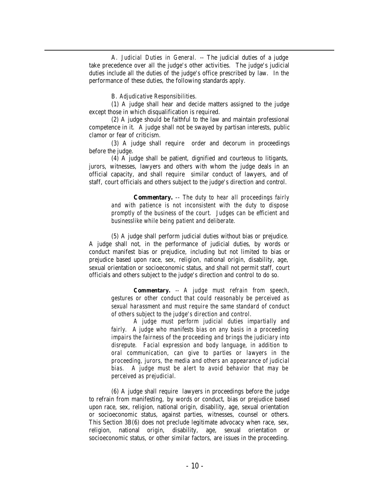A*. Judicial Duties in General.* -- The judicial duties of a judge take precedence over all the judge's other activities. The judge's judicial duties include all the duties of the judge's office prescribed by law. In the performance of these duties, the following standards apply.

#### B. *Adjudicative Responsibilities.*

(1) A judge shall hear and decide matters assigned to the judge except those in which disqualification is required.

(2) A judge should be faithful to the law and maintain professional competence in it. A judge shall not be swayed by partisan interests, public clamor or fear of criticism.

(3) A judge shall require order and decorum in proceedings before the judge.

(4) A judge shall be patient, dignified and courteous to litigants, jurors, witnesses, lawyers and others with whom the judge deals in an official capacity, and shall require similar conduct of lawyers, and of staff, court officials and others subject to the judge's direction and control.

> **Commentary.** -- *The duty to hear all proceedings fairly and with patience is not inconsistent with the duty to dispose promptly of the business of the court. Judges can be efficient and businesslike while being patient and deliberate.*

(5) A judge shall perform judicial duties without bias or prejudice. A judge shall not, in the performance of judicial duties, by words or conduct manifest bias or prejudice, including but not limited to bias or prejudice based upon race, sex, religion, national origin, disability, age, sexual orientation or socioeconomic status, and shall not permit staff, court officials and others subject to the judge's direction and control to do so.

> **Commentary.** -- *A judge must refrain from speech, gestures or other conduct that could reasonably be perceived as sexual harassment and must require the same standard of conduct of others subject to the judge's direction and control.*

> *A judge must perform judicial duties impartially and fairly. A judge who manifests bias on any basis in a proceeding impairs the fairness of the proceeding and brings the judiciary into disrepute. Facial expression and body language, in addition to oral communication, can give to parties or lawyers in the proceeding, jurors, the media and others an appearance of judicial bias. A judge must be alert to avoid behavior that may be perceived as prejudicial.*

(6) A judge shall require lawyers in proceedings before the judge to refrain from manifesting, by words or conduct, bias or prejudice based upon race, sex, religion, national origin, disability, age, sexual orientation or socioeconomic status, against parties, witnesses, counsel or others. This Section 3B(6) does not preclude legitimate advocacy when race, sex, religion, national origin, disability, age, sexual orientation or socioeconomic status, or other similar factors, are issues in the proceeding.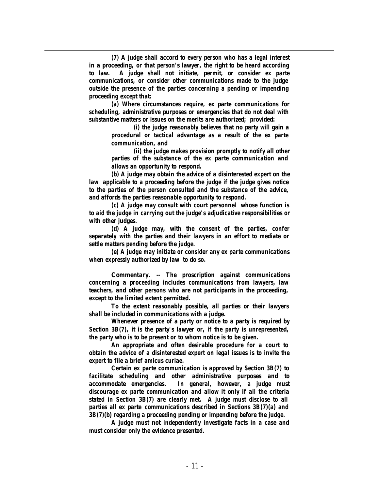*(7) A judge shall accord to every person who has a legal interest in a proceeding, or that person's lawyer, the right to be heard according to law. A judge shall not initiate, permit, or consider ex parte communications, or consider other communications made to the judge outside the presence of the parties concerning a pending or impending proceeding except that:*

*(a) Where circumstances require, ex parte communications for scheduling, administrative purposes or emergencies that do not deal with substantive matters or issues on the merits are authorized; provided:*

> *(i) the judge reasonably believes that no party will gain a procedural or tactical advantage as a result of the ex parte communication, and*

> *(ii) the judge makes provision promptly to notify all other parties of the substance of the ex parte communication and allows an opportunity to respond.*

*(b) A judge may obtain the advice of a disinterested expert on the law applicable to a proceeding before the judge if the judge gives notice to the parties of the person consulted and the substance of the advice, and affords the parties reasonable opportunity to respond.*

*(c) A judge may consult with court personnel whose function is to aid the judge in carrying out the judge's adjudicative responsibilities or with other judges.*

*(d) A judge may, with the consent of the parties, confer separately with the parties and their lawyers in an effort to mediate or settle matters pending before the judge.*

*(e) A judge may initiate or consider any ex parte communications when expressly authorized by law to do so.*

**Commentary. --** *The proscription against communications concerning a proceeding includes communications from lawyers, law teachers, and other persons who are not participants in the proceeding, except to the limited extent permitted.*

*To the extent reasonably possible, all parties or their lawyers shall be included in communications with a judge.*

*Whenever presence of a party or notice to a party is required by Section 3B(7), it is the party's lawyer or, if the party is unrepresented, the party who is to be present or to whom notice is to be given.*

*An appropriate and often desirable procedure for a court to obtain the advice of a disinterested expert on legal issues is to invite the expert to file a brief amicus curiae.*

*Certain ex parte communication is approved by Section 3B(7) to facilitate scheduling and other administrative purposes and to accommodate emergencies. In general, however, a judge must discourage ex parte communication and allow it only if all the criteria stated in Section 3B(7) are clearly met. A judge must disclose to all parties all ex parte communications described in Sections 3B(7)(a) and 3B(7)(b) regarding a proceeding pending or impending before the judge.*

*A judge must not independently investigate facts in a case and must consider only the evidence presented.*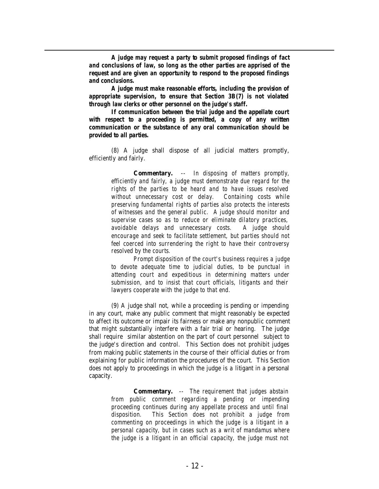*A judge may request a party to submit proposed findings of fact and conclusions of law, so long as the other parties are apprised of the request and are given an opportunity to respond to the proposed findings and conclusions.*

*A judge must make reasonable efforts, including the provision of appropriate supervision, to ensure that Section 3B(7) is not violated through law clerks or other personnel on the judge's staff.*

*If communication between the trial judge and the appellate court with respect to a proceeding is permitted, a copy of any written communication or the substance of any oral communication should be provided to all parties.*

(8) A judge shall dispose of all judicial matters promptly, efficiently and fairly.

> **Commentary.** -- *In disposing of matters promptly, efficiently and fairly, a judge must demonstrate due regard for the rights of the parties to be heard and to have issues resolved without unnecessary cost or delay. Containing costs while preserving fundamental rights of parties also protects the interests of witnesses and the general public. A judge should monitor and supervise cases so as to reduce or eliminate dilatory practices, avoidable delays and unnecessary costs. A judge should encourage and seek to facilitate settlement, but parties should not feel coerced into surrendering the right to have their controversy resolved by the courts.*

> *Prompt disposition of the court's business requires a judge to devote adequate time to judicial duties, to be punctual in attending court and expeditious in determining matters under submission, and to insist that court officials, litigants and their lawyers cooperate with the judge to that end.*

(9) A judge shall not, while a proceeding is pending or impending in any court, make any public comment that might reasonably be expected to affect its outcome or impair its fairness or make any nonpublic comment that might substantially interfere with a fair trial or hearing. The judge shall require similar abstention on the part of court personnel subject to the judge's direction and control. This Section does not prohibit judges from making public statements in the course of their official duties or from explaining for public information the procedures of the court. This Section does not apply to proceedings in which the judge is a litigant in a personal capacity.

> **Commentary.** -- *The requirement that judges abstain from public comment regarding a pending or impending proceeding continues during any appellate process and until final disposition. This Section does not prohibit a judge from commenting on proceedings in which the judge is a litigant in a personal capacity, but in cases such as a writ of mandamus where the judge is a litigant in an official capacity, the judge must not*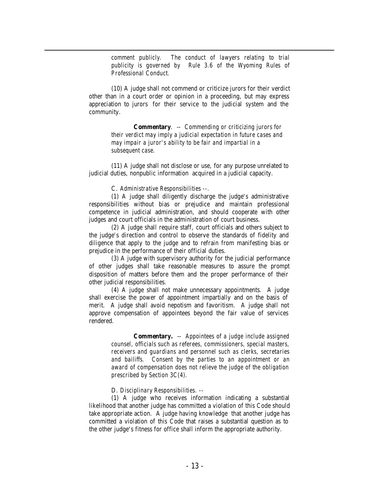*comment publicly. The conduct of lawyers relating to trial publicity is governed by Rule 3.6 of the Wyoming Rules of Professional Conduct.*

(10) A judge shall not commend or criticize jurors for their verdict other than in a court order or opinion in a proceeding, but may express appreciation to jurors for their service to the judicial system and the community.

> **Commentary**. -- *Commending or criticizing jurors for their verdict may imply a judicial expectation in future cases and may impair a juror's ability to be fair and impartial in a subsequent case.*

(11) A judge shall not disclose or use, for any purpose unrelated to judicial duties, nonpublic information acquired in a judicial capacity.

#### C. *Administrative Responsibilities --.*

(1) A judge shall diligently discharge the judge's administrative responsibilities without bias or prejudice and maintain professional competence in judicial administration, and should cooperate with other judges and court officials in the administration of court business.

(2) A judge shall require staff, court officials and others subject to the judge's direction and control to observe the standards of fidelity and diligence that apply to the judge and to refrain from manifesting bias or prejudice in the performance of their official duties.

(3) A judge with supervisory authority for the judicial performance of other judges shall take reasonable measures to assure the prompt disposition of matters before them and the proper performance of their other judicial responsibilities.

(4) A judge shall not make unnecessary appointments. A judge shall exercise the power of appointment impartially and on the basis of merit. A judge shall avoid nepotism and favoritism. A judge shall not approve compensation of appointees beyond the fair value of services rendered.

> **Commentary.** -- *Appointees of a judge include assigned counsel, officials such as referees, commissioners, special masters, receivers and guardians and personnel such as clerks, secretaries and bailiffs. Consent by the parties to an appointment or an award of compensation does not relieve the judge of the obligation prescribed by Section 3C(4).*

D. *Disciplinary Responsibilities. --*

(1) A judge who receives information indicating a substantial likelihood that another judge has committed a violation of this Code should take appropriate action. A judge having knowledge that another judge has committed a violation of this Code that raises a substantial question as to the other judge's fitness for office shall inform the appropriate authority.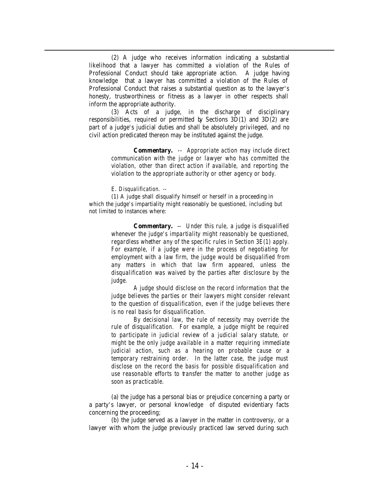(2) A judge who receives information indicating a substantial likelihood that a lawyer has committed a violation of the Rules of Professional Conduct should take appropriate action. A judge having knowledge that a lawyer has committed a violation of the Rules of Professional Conduct that raises a substantial question as to the lawyer's honesty, trustworthiness or fitness as a lawyer in other respects shall inform the appropriate authority.

(3) Acts of a judge, in the discharge of disciplinary responsibilities, required or permitted by Sections 3D(1) and 3D(2) are part of a judge's judicial duties and shall be absolutely privileged, and no civil action predicated thereon may be instituted against the judge.

> **Commentary.** -- *Appropriate action may include direct communication with the judge or lawyer who has committed the violation, other than direct action if available, and reporting the violation to the appropriate authority or other agency or body.*

E. *Disqualification. --*

(1) A judge shall disqualify himself or herself in a proceeding in which the judge's impartiality might reasonably be questioned, including but not limited to instances where:

> **Commentary.** -- *Under this rule, a judge is disqualified whenever the judge's impartiality might reasonably be questioned, regardless whether any of the specific rules in Section 3E(1) apply. For example, if a judge were in the process of negotiating for employment with a law firm, the judge would be disqualified from any matters in which that law firm appeared, unless the disqualification was waived by the parties after disclosure by the judge.*

> *A judge should disclose on the record information that the judge believes the parties or their lawyers might consider relevant to the question of disqualification, even if the judge believes there is no real basis for disqualification.*

> *By decisional law, the rule of necessity may override the rule of disqualification. For example, a judge might be required to participate in judicial review of a judicial salary statute, or might be the only judge available in a matter requiring immediate judicial action, such as a hearing on probable cause or a temporary restraining order. In the latter case, the judge must disclose on the record the basis for possible disqualification and use reasonable efforts to transfer the matter to another judge as soon as practicable.*

(a) the judge has a personal bias or prejudice concerning a party or a party's lawyer, or personal knowledge of disputed evidentiary facts concerning the proceeding;

(b) the judge served as a lawyer in the matter in controversy, or a lawyer with whom the judge previously practiced law served during such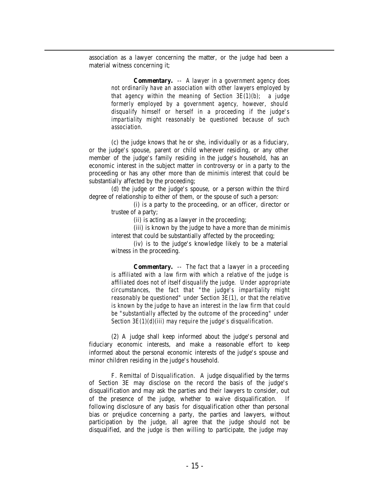association as a lawyer concerning the matter, or the judge had been a material witness concerning it;

**Commentary.** -- *A lawyer in a government agency does not ordinarily have an association with other lawyers employed by that agency within the meaning of Section 3E(1)(b); a judge formerly employed by a government agency, however, should disqualify himself or herself in a proceeding if the judge's impartiality might reasonably be questioned because of such association.*

(c) the judge knows that he or she, individually or as a fiduciary, or the judge's spouse, parent or child wherever residing, or any other member of the judge's family residing in the judge's household, has an economic interest in the subject matter in controversy or in a party to the proceeding or has any other more than de minimis interest that could be substantially affected by the proceeding;

(d) the judge or the judge's spouse, or a person within the third degree of relationship to either of them, or the spouse of such a person:

(i) is a party to the proceeding, or an officer, director or trustee of a party;

(ii) is acting as a lawyer in the proceeding;

(iii) is known by the judge to have a more than de minimis interest that could be substantially affected by the proceeding;

(iv) is to the judge's knowledge likely to be a material witness in the proceeding.

**Commentary.** -- *The fact that a lawyer in a proceeding is affiliated with a law firm with which a relative of the judge is affiliated does not of itself disqualify the judge. Under appropriate circumstances, the fact that "the judge's impartiality might reasonably be questioned" under Section 3E(1), or that the relative is known by the judge to have an interest in the law firm that could be "substantially affected by the outcome of the proceeding" under Section 3E(1)(d)(iii) may require the judge's disqualification.*

(2) A judge shall keep informed about the judge's personal and fiduciary economic interests, and make a reasonable effort to keep informed about the personal economic interests of the judge's spouse and minor children residing in the judge's household.

F. *Remittal of Disqualification*. A judge disqualified by the terms of Section 3E may disclose on the record the basis of the judge's disqualification and may ask the parties and their lawyers to consider, out of the presence of the judge, whether to waive disqualification. If following disclosure of any basis for disqualification other than personal bias or prejudice concerning a party, the parties and lawyers, without participation by the judge, all agree that the judge should not be disqualified, and the judge is then willing to participate, the judge may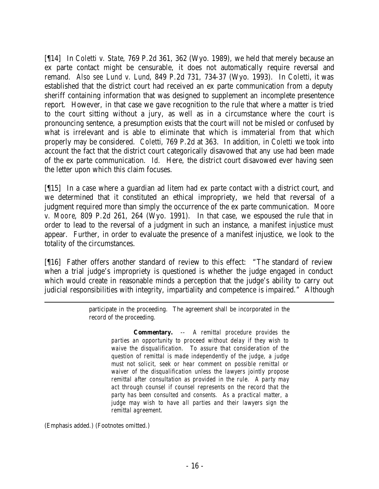[¶14] In *Coletti v. State*, 769 P.2d 361, 362 (Wyo. 1989), we held that merely because an ex parte contact might be censurable, it does not automatically require reversal and remand. *Also see Lund v. Lund*, 849 P.2d 731, 734-37 (Wyo. 1993). In *Coletti*, it was established that the district court had received an ex parte communication from a deputy sheriff containing information that was designed to supplement an incomplete presentence report. However, in that case we gave recognition to the rule that where a matter is tried to the court sitting without a jury, as well as in a circumstance where the court is pronouncing sentence, a presumption exists that the court will not be misled or confused by what is irrelevant and is able to eliminate that which is immaterial from that which properly may be considered. *Coletti*, 769 P.2d at 363. In addition, in *Coletti* we took into account the fact that the district court categorically disavowed that any use had been made of the ex parte communication. *Id.* Here, the district court disavowed ever having seen the letter upon which this claim focuses.

[¶15] In a case where a guardian ad litem had ex parte contact with a district court, and we determined that it constituted an ethical impropriety, we held that reversal of a judgment required more than simply the occurrence of the ex parte communication. *Moore v. Moore*, 809 P.2d 261, 264 (Wyo. 1991). In that case, we espoused the rule that in order to lead to the reversal of a judgment in such an instance, a manifest injustice must appear. Further, in order to evaluate the presence of a manifest injustice, we look to the totality of the circumstances.

[¶16] Father offers another standard of review to this effect: "The standard of review when a trial judge's impropriety is questioned is whether the judge engaged in conduct which would create in reasonable minds a perception that the judge's ability to carry out judicial responsibilities with integrity, impartiality and competence is impaired." Although

> participate in the proceeding. The agreement shall be incorporated in the record of the proceeding.

> > **Commentary.** -- *A remittal procedure provides the parties an opportunity to proceed without delay if they wish to waive the disqualification. To assure that consideration of the question of remittal is made independently of the judge, a judge must not solicit, seek or hear comment on possible remittal or waiver of the disqualification unless the lawyers jointly propose remittal after consultation as provided in the rule. A party may act through counsel if counsel represents on the record that the party has been consulted and consents. As a practical matter, a judge may wish to have all parties and their lawyers sign the remittal agreement*.

(Emphasis added.) (Footnotes omitted.)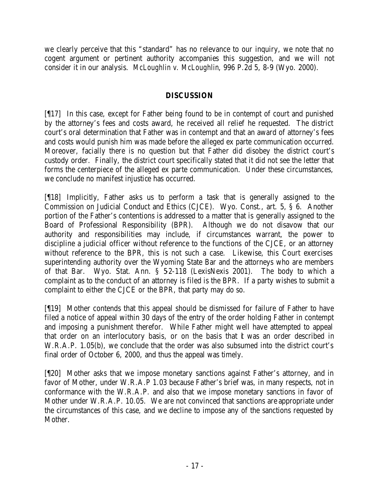we clearly perceive that this "standard" has no relevance to our inquiry, we note that no cogent argument or pertinent authority accompanies this suggestion, and we will not consider it in our analysis. *McLoughlin v. McLoughlin*, 996 P.2d 5, 8-9 (Wyo. 2000).

## **DISCUSSION**

[¶17] In this case, except for Father being found to be in contempt of court and punished by the attorney's fees and costs award, he received all relief he requested. The district court's oral determination that Father was in contempt and that an award of attorney's fees and costs would punish him was made before the alleged ex parte communication occurred. Moreover, facially there is no question but that Father did disobey the district court's custody order. Finally, the district court specifically stated that it did not see the letter that forms the centerpiece of the alleged ex parte communication. Under these circumstances, we conclude no manifest injustice has occurred.

[¶18] Implicitly, Father asks us to perform a task that is generally assigned to the Commission on Judicial Conduct and Ethics (CJCE). Wyo. Const., art. 5, § 6. Another portion of the Father's contentions is addressed to a matter that is generally assigned to the Board of Professional Responsibility (BPR). Although we do not disavow that our authority and responsibilities may include, if circumstances warrant, the power to discipline a judicial officer without reference to the functions of the CJCE, or an attorney without reference to the BPR, this is not such a case. Likewise, this Court exercises superintending authority over the Wyoming State Bar and the attorneys who are members of that Bar. Wyo. Stat. Ann. § 5-2-118 (LexisNexis 2001). The body to which a complaint as to the conduct of an attorney is filed is the BPR. If a party wishes to submit a complaint to either the CJCE or the BPR, that party may do so.

[¶19] Mother contends that this appeal should be dismissed for failure of Father to have filed a notice of appeal within 30 days of the entry of the order holding Father in contempt and imposing a punishment therefor. While Father might well have attempted to appeal that order on an interlocutory basis, or on the basis that t was an order described in W.R.A.P. 1.05(b), we conclude that the order was also subsumed into the district court's final order of October 6, 2000, and thus the appeal was timely.

[¶20] Mother asks that we impose monetary sanctions against Father's attorney, and in favor of Mother, under W.R.A.P 1.03 because Father's brief was, in many respects, not in conformance with the W.R.A.P. and also that we impose monetary sanctions in favor of Mother under W.R.A.P. 10.05. We are not convinced that sanctions are appropriate under the circumstances of this case, and we decline to impose any of the sanctions requested by Mother.